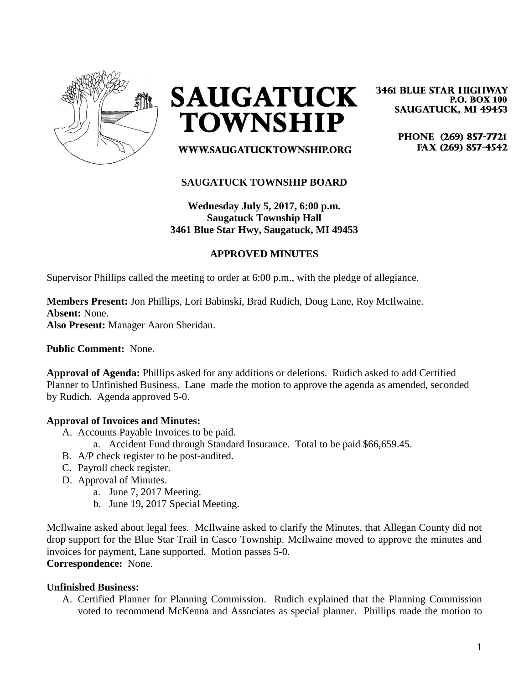

**SAUGATUCK TOWNSHIP** 

**3461 BLUE STAR HIGHWAY P.O. BOX 100 SAUGATUCK, MI 49453** 

> PHONE (269) 857-7721 FAX (269) 857-4542

WWW.SAUGATUCKTOWNSHIP.ORG

### **SAUGATUCK TOWNSHIP BOARD**

**Wednesday July 5, 2017, 6:00 p.m. Saugatuck Township Hall 3461 Blue Star Hwy, Saugatuck, MI 49453**

## **APPROVED MINUTES**

Supervisor Phillips called the meeting to order at 6:00 p.m., with the pledge of allegiance.

**Members Present:** Jon Phillips, Lori Babinski, Brad Rudich, Doug Lane, Roy McIlwaine. **Absent:** None. **Also Present:** Manager Aaron Sheridan.

**Public Comment:** None.

**Approval of Agenda:** Phillips asked for any additions or deletions. Rudich asked to add Certified Planner to Unfinished Business. Lane made the motion to approve the agenda as amended, seconded by Rudich. Agenda approved 5-0.

### **Approval of Invoices and Minutes:**

- A. Accounts Payable Invoices to be paid.
	- a. Accident Fund through Standard Insurance. Total to be paid \$66,659.45.
- B. A/P check register to be post-audited.
- C. Payroll check register.
- D. Approval of Minutes.
	- a. June 7, 2017 Meeting.
	- b. June 19, 2017 Special Meeting.

McIlwaine asked about legal fees. McIlwaine asked to clarify the Minutes, that Allegan County did not drop support for the Blue Star Trail in Casco Township. McIlwaine moved to approve the minutes and invoices for payment, Lane supported. Motion passes 5-0. **Correspondence:** None.

#### **Unfinished Business:**

A. Certified Planner for Planning Commission. Rudich explained that the Planning Commission voted to recommend McKenna and Associates as special planner. Phillips made the motion to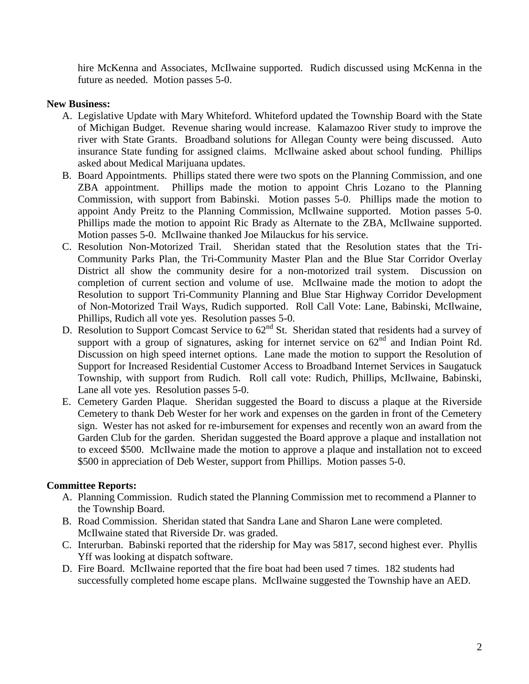hire McKenna and Associates, McIlwaine supported. Rudich discussed using McKenna in the future as needed. Motion passes 5-0.

### **New Business:**

- A. Legislative Update with Mary Whiteford. Whiteford updated the Township Board with the State of Michigan Budget. Revenue sharing would increase. Kalamazoo River study to improve the river with State Grants. Broadband solutions for Allegan County were being discussed. Auto insurance State funding for assigned claims. McIlwaine asked about school funding. Phillips asked about Medical Marijuana updates.
- B. Board Appointments. Phillips stated there were two spots on the Planning Commission, and one ZBA appointment. Phillips made the motion to appoint Chris Lozano to the Planning Commission, with support from Babinski. Motion passes 5-0. Phillips made the motion to appoint Andy Preitz to the Planning Commission, McIlwaine supported. Motion passes 5-0. Phillips made the motion to appoint Ric Brady as Alternate to the ZBA, McIlwaine supported. Motion passes 5-0. McIlwaine thanked Joe Milauckus for his service.
- C. Resolution Non-Motorized Trail. Sheridan stated that the Resolution states that the Tri-Community Parks Plan, the Tri-Community Master Plan and the Blue Star Corridor Overlay District all show the community desire for a non-motorized trail system. Discussion on completion of current section and volume of use. McIlwaine made the motion to adopt the Resolution to support Tri-Community Planning and Blue Star Highway Corridor Development of Non-Motorized Trail Ways, Rudich supported. Roll Call Vote: Lane, Babinski, McIlwaine, Phillips, Rudich all vote yes. Resolution passes 5-0.
- D. Resolution to Support Comcast Service to  $62<sup>nd</sup>$  St. Sheridan stated that residents had a survey of support with a group of signatures, asking for internet service on  $62<sup>nd</sup>$  and Indian Point Rd. Discussion on high speed internet options. Lane made the motion to support the Resolution of Support for Increased Residential Customer Access to Broadband Internet Services in Saugatuck Township, with support from Rudich. Roll call vote: Rudich, Phillips, McIlwaine, Babinski, Lane all vote yes. Resolution passes 5-0.
- E. Cemetery Garden Plaque. Sheridan suggested the Board to discuss a plaque at the Riverside Cemetery to thank Deb Wester for her work and expenses on the garden in front of the Cemetery sign. Wester has not asked for re-imbursement for expenses and recently won an award from the Garden Club for the garden. Sheridan suggested the Board approve a plaque and installation not to exceed \$500. McIlwaine made the motion to approve a plaque and installation not to exceed \$500 in appreciation of Deb Wester, support from Phillips. Motion passes 5-0.

# **Committee Reports:**

- A. Planning Commission. Rudich stated the Planning Commission met to recommend a Planner to the Township Board.
- B. Road Commission. Sheridan stated that Sandra Lane and Sharon Lane were completed. McIlwaine stated that Riverside Dr. was graded.
- C. Interurban. Babinski reported that the ridership for May was 5817, second highest ever. Phyllis Yff was looking at dispatch software.
- D. Fire Board. McIlwaine reported that the fire boat had been used 7 times. 182 students had successfully completed home escape plans. McIlwaine suggested the Township have an AED.